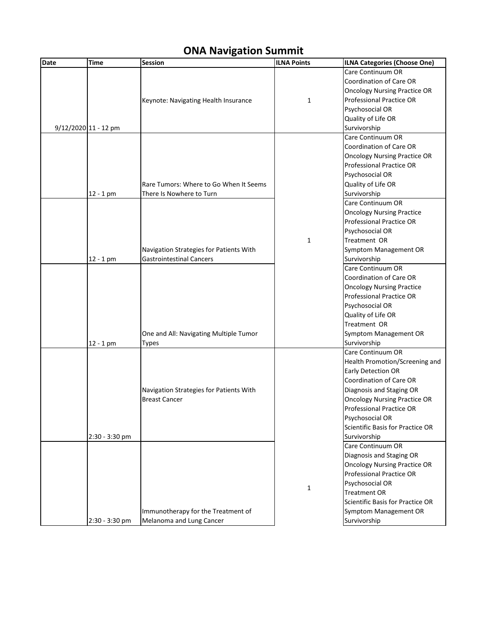## **ONA Navigation Summit**

| <b>Date</b> | <b>Time</b>            | <b>Session</b>                          | <b>ILNA Points</b> | <b>ILNA Categories (Choose One)</b> |
|-------------|------------------------|-----------------------------------------|--------------------|-------------------------------------|
|             |                        |                                         |                    | Care Continuum OR                   |
|             |                        |                                         |                    | Coordination of Care OR             |
|             |                        |                                         |                    | <b>Oncology Nursing Practice OR</b> |
|             |                        | Keynote: Navigating Health Insurance    | 1                  | <b>Professional Practice OR</b>     |
|             |                        |                                         |                    | Psychosocial OR                     |
|             |                        |                                         |                    | Quality of Life OR                  |
|             | $9/12/2020$ 11 - 12 pm |                                         |                    | Survivorship                        |
|             |                        |                                         |                    | Care Continuum OR                   |
|             |                        |                                         |                    | Coordination of Care OR             |
|             |                        |                                         |                    | <b>Oncology Nursing Practice OR</b> |
|             |                        |                                         |                    | <b>Professional Practice OR</b>     |
|             |                        |                                         |                    | Psychosocial OR                     |
|             |                        | Rare Tumors: Where to Go When It Seems  |                    | Quality of Life OR                  |
|             | $12 - 1$ pm            | There Is Nowhere to Turn                |                    | Survivorship                        |
|             |                        |                                         |                    | Care Continuum OR                   |
|             |                        |                                         |                    | <b>Oncology Nursing Practice</b>    |
|             |                        |                                         |                    | <b>Professional Practice OR</b>     |
|             |                        |                                         |                    | Psychosocial OR                     |
|             |                        |                                         | $\mathbf{1}$       | Treatment OR                        |
|             |                        | Navigation Strategies for Patients With |                    | Symptom Management OR               |
|             | $12 - 1$ pm            | <b>Gastrointestinal Cancers</b>         |                    | Survivorship                        |
|             |                        |                                         |                    | Care Continuum OR                   |
|             |                        |                                         |                    | Coordination of Care OR             |
|             |                        |                                         |                    | <b>Oncology Nursing Practice</b>    |
|             |                        |                                         |                    | <b>Professional Practice OR</b>     |
|             |                        |                                         |                    | Psychosocial OR                     |
|             |                        |                                         |                    | Quality of Life OR                  |
|             |                        |                                         |                    | Treatment OR                        |
|             |                        | One and All: Navigating Multiple Tumor  |                    | Symptom Management OR               |
|             | $12 - 1$ pm            | Types                                   |                    | Survivorship                        |
|             |                        |                                         |                    | Care Continuum OR                   |
|             |                        |                                         |                    | Health Promotion/Screening and      |
|             |                        |                                         |                    | <b>Early Detection OR</b>           |
|             |                        |                                         |                    | Coordination of Care OR             |
|             |                        | Navigation Strategies for Patients With |                    | Diagnosis and Staging OR            |
|             |                        | <b>Breast Cancer</b>                    |                    | <b>Oncology Nursing Practice OR</b> |
|             |                        |                                         |                    | <b>Professional Practice OR</b>     |
|             |                        |                                         |                    | Psychosocial OR                     |
|             |                        |                                         |                    | Scientific Basis for Practice OR    |
|             | 2:30 - 3:30 pm         |                                         |                    | Survivorship                        |
|             |                        |                                         |                    | Care Continuum OR                   |
|             |                        |                                         |                    | Diagnosis and Staging OR            |
|             |                        |                                         |                    | <b>Oncology Nursing Practice OR</b> |
|             |                        |                                         |                    | <b>Professional Practice OR</b>     |
|             |                        |                                         | $\mathbf{1}$       | Psychosocial OR                     |
|             |                        |                                         |                    | <b>Treatment OR</b>                 |
|             |                        |                                         |                    | Scientific Basis for Practice OR    |
|             |                        | Immunotherapy for the Treatment of      |                    | Symptom Management OR               |
|             | 2:30 - 3:30 pm         | Melanoma and Lung Cancer                |                    | Survivorship                        |